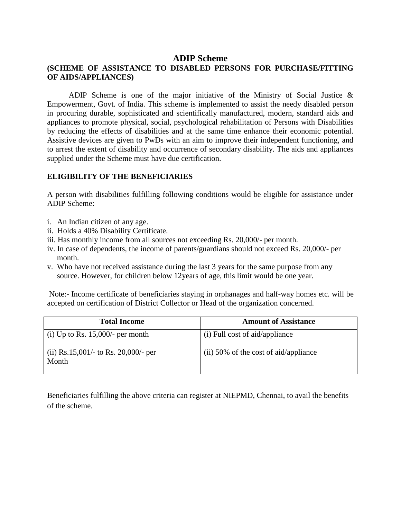#### **ADIP Scheme**

#### **(SCHEME OF ASSISTANCE TO DISABLED PERSONS FOR PURCHASE/FITTING OF AIDS/APPLIANCES)**

 ADIP Scheme is one of the major initiative of the Ministry of Social Justice & Empowerment, Govt. of India. This scheme is implemented to assist the needy disabled person in procuring durable, sophisticated and scientifically manufactured, modern, standard aids and appliances to promote physical, social, psychological rehabilitation of Persons with Disabilities by reducing the effects of disabilities and at the same time enhance their economic potential. Assistive devices are given to PwDs with an aim to improve their independent functioning, and to arrest the extent of disability and occurrence of secondary disability. The aids and appliances supplied under the Scheme must have due certification.

#### **ELIGIBILITY OF THE BENEFICIARIES**

A person with disabilities fulfilling following conditions would be eligible for assistance under ADIP Scheme:

- i. An Indian citizen of any age.
- ii. Holds a 40% Disability Certificate.
- iii. Has monthly income from all sources not exceeding Rs. 20,000/- per month.
- iv. In case of dependents, the income of parents/guardians should not exceed Rs. 20,000/- per month.
- v. Who have not received assistance during the last 3 years for the same purpose from any source. However, for children below 12years of age, this limit would be one year.

Note:- Income certificate of beneficiaries staying in orphanages and half-way homes etc. will be accepted on certification of District Collector or Head of the organization concerned.

| <b>Total Income</b>                           | <b>Amount of Assistance</b>             |
|-----------------------------------------------|-----------------------------------------|
| (i) Up to Rs. $15,000/$ - per month           | (i) Full cost of aid/appliance          |
| (ii) Rs.15,001/- to Rs. 20,000/- per<br>Month | $(ii)$ 50% of the cost of aid/appliance |

Beneficiaries fulfilling the above criteria can register at NIEPMD, Chennai, to avail the benefits of the scheme.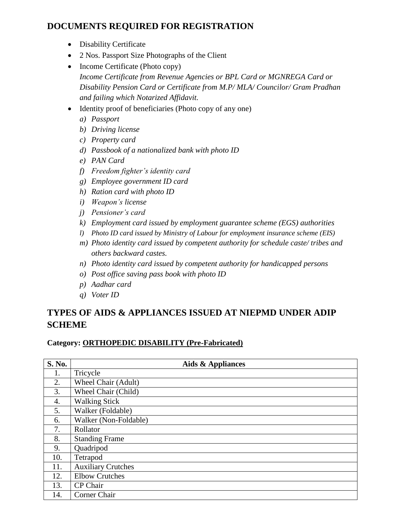## **DOCUMENTS REQUIRED FOR REGISTRATION**

- Disability Certificate
- 2 Nos. Passport Size Photographs of the Client
- Income Certificate (Photo copy) *Income Certificate from Revenue Agencies or BPL Card or MGNREGA Card or Disability Pension Card or Certificate from M.P/ MLA/ Councilor/ Gram Pradhan and failing which Notarized Affidavit.*
- Identity proof of beneficiaries (Photo copy of any one)
	- *a) Passport*
	- *b) Driving license*
	- *c) Property card*
	- *d) Passbook of a nationalized bank with photo ID*
	- *e) PAN Card*
	- *f) Freedom fighter's identity card*
	- *g) Employee government ID card*
	- *h) Ration card with photo ID*
	- *i) Weapon's license*
	- *j) Pensioner's card*
	- *k) Employment card issued by employment guarantee scheme (EGS) authorities*
	- *l) Photo ID card issued by Ministry of Labour for employment insurance scheme (EIS)*
	- *m) Photo identity card issued by competent authority for schedule caste/ tribes and others backward castes.*
	- *n) Photo identity card issued by competent authority for handicapped persons*
	- *o) Post office saving pass book with photo ID*
	- *p) Aadhar card*
	- *q) Voter ID*

# **TYPES OF AIDS & APPLIANCES ISSUED AT NIEPMD UNDER ADIP SCHEME**

### **Category: ORTHOPEDIC DISABILITY (Pre-Fabricated)**

| S. No. | Aids & Appliances         |
|--------|---------------------------|
| 1.     | Tricycle                  |
| 2.     | Wheel Chair (Adult)       |
| 3.     | Wheel Chair (Child)       |
| 4.     | <b>Walking Stick</b>      |
| 5.     | Walker (Foldable)         |
| 6.     | Walker (Non-Foldable)     |
| 7.     | Rollator                  |
| 8.     | <b>Standing Frame</b>     |
| 9.     | Quadripod                 |
| 10.    | Tetrapod                  |
| 11.    | <b>Auxiliary Crutches</b> |
| 12.    | <b>Elbow Crutches</b>     |
| 13.    | CP Chair                  |
| 14.    | Corner Chair              |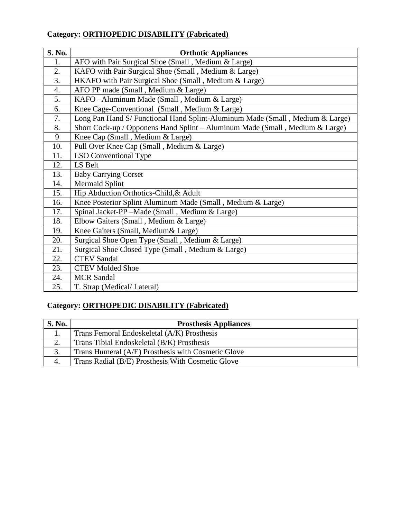| S. No. | <b>Orthotic Appliances</b>                                                    |
|--------|-------------------------------------------------------------------------------|
| 1.     | AFO with Pair Surgical Shoe (Small, Medium & Large)                           |
| 2.     | KAFO with Pair Surgical Shoe (Small, Medium & Large)                          |
| 3.     | HKAFO with Pair Surgical Shoe (Small, Medium & Large)                         |
| 4.     | AFO PP made (Small, Medium & Large)                                           |
| 5.     | KAFO-Aluminum Made (Small, Medium & Large)                                    |
| 6.     | Knee Cage-Conventional (Small, Medium & Large)                                |
| 7.     | Long Pan Hand S/ Functional Hand Splint-Aluminum Made (Small, Medium & Large) |
| 8.     | Short Cock-up / Opponens Hand Splint – Aluminum Made (Small, Medium & Large)  |
| 9      | Knee Cap (Small, Medium & Large)                                              |
| 10.    | Pull Over Knee Cap (Small, Medium & Large)                                    |
| 11.    | LSO Conventional Type                                                         |
| 12.    | LS Belt                                                                       |
| 13.    | <b>Baby Carrying Corset</b>                                                   |
| 14.    | <b>Mermaid Splint</b>                                                         |
| 15.    | Hip Abduction Orthotics-Child, & Adult                                        |
| 16.    | Knee Posterior Splint Aluminum Made (Small, Medium & Large)                   |
| 17.    | Spinal Jacket-PP - Made (Small, Medium & Large)                               |
| 18.    | Elbow Gaiters (Small, Medium & Large)                                         |
| 19.    | Knee Gaiters (Small, Medium& Large)                                           |
| 20.    | Surgical Shoe Open Type (Small, Medium & Large)                               |
| 21.    | Surgical Shoe Closed Type (Small, Medium & Large)                             |
| 22.    | <b>CTEV Sandal</b>                                                            |
| 23.    | <b>CTEV Molded Shoe</b>                                                       |
| 24.    | <b>MCR</b> Sandal                                                             |
| 25.    | T. Strap (Medical/Lateral)                                                    |

# **Category: ORTHOPEDIC DISABILITY (Fabricated)**

### **Category: ORTHOPEDIC DISABILITY (Fabricated)**

| <b>S. No.</b> | <b>Prosthesis Appliances</b>                       |
|---------------|----------------------------------------------------|
| ı.            | Trans Femoral Endoskeletal (A/K) Prosthesis        |
| ۷.            | Trans Tibial Endoskeletal (B/K) Prosthesis         |
| 3.            | Trans Humeral (A/E) Prosthesis with Cosmetic Glove |
| 4.            | Trans Radial (B/E) Prosthesis With Cosmetic Glove  |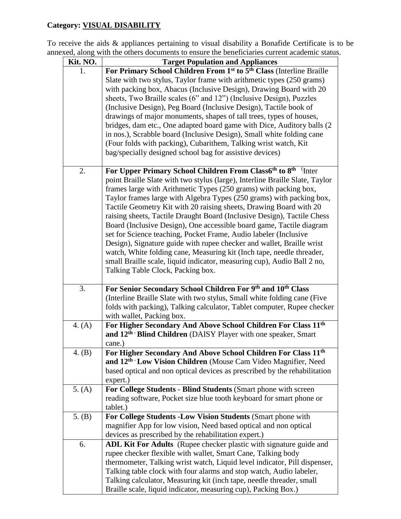### **Category: VISUAL DISABILITY**

To receive the aids & appliances pertaining to visual disability a Bonafide Certificate is to be annexed, along with the others documents to ensure the beneficiaries current academic status.

| For Primary School Children From 1st to 5th Class (Interline Braille<br>1.<br>Slate with two stylus, Taylor frame with arithmetic types (250 grams)<br>with packing box, Abacus (Inclusive Design), Drawing Board with 20<br>sheets, Two Braille scales (6" and 12") (Inclusive Design), Puzzles<br>(Inclusive Design), Peg Board (Inclusive Design), Tactile book of<br>drawings of major monuments, shapes of tall trees, types of houses,<br>bridges, dam etc., One adapted board game with Dice, Auditory balls (2)<br>in nos.), Scrabble board (Inclusive Design), Small white folding cane<br>(Four folds with packing), Cubarithem, Talking wrist watch, Kit<br>bag/specially designed school bag for assistive devices)<br>For Upper Primary School Children From Class6th to 8th Inter<br>2.<br>point Braille Slate with two stylus (large), Interline Braille Slate, Taylor<br>frames large with Arithmetic Types (250 grams) with packing box,<br>Taylor frames large with Algebra Types (250 grams) with packing box,<br>Tactile Geometry Kit with 20 raising sheets, Drawing Board with 20<br>raising sheets, Tactile Draught Board (Inclusive Design), Tactile Chess<br>Board (Inclusive Design), One accessible board game, Tactile diagram<br>set for Science teaching, Pocket Frame, Audio labeler (Inclusive<br>Design), Signature guide with rupee checker and wallet, Braille wrist<br>watch, White folding cane, Measuring kit (Inch tape, needle threader,<br>small Braille scale, liquid indicator, measuring cup), Audio Ball 2 no,<br>Talking Table Clock, Packing box.<br>For Senior Secondary School Children For 9th and 10th Class<br>3.<br>(Interline Braille Slate with two stylus, Small white folding cane (Five)<br>folds with packing), Talking calculator, Tablet computer, Rupee checker<br>with wallet, Packing box.<br>For Higher Secondary And Above School Children For Class 11 <sup>th</sup><br>4. (A)<br>and 12 <sup>th</sup> Blind Children (DAISY Player with one speaker, Smart<br>cane.)<br>4. $(B)$<br>For Higher Secondary And Above School Children For Class 11 <sup>th</sup><br>and 12 <sup>th</sup> Low Vision Children (Mouse Cam Video Magnifier, Need<br>based optical and non optical devices as prescribed by the rehabilitation<br>expert.)<br>For College Students - Blind Students (Smart phone with screen<br>5. (A)<br>reading software, Pocket size blue tooth keyboard for smart phone or<br>tablet.) |
|-------------------------------------------------------------------------------------------------------------------------------------------------------------------------------------------------------------------------------------------------------------------------------------------------------------------------------------------------------------------------------------------------------------------------------------------------------------------------------------------------------------------------------------------------------------------------------------------------------------------------------------------------------------------------------------------------------------------------------------------------------------------------------------------------------------------------------------------------------------------------------------------------------------------------------------------------------------------------------------------------------------------------------------------------------------------------------------------------------------------------------------------------------------------------------------------------------------------------------------------------------------------------------------------------------------------------------------------------------------------------------------------------------------------------------------------------------------------------------------------------------------------------------------------------------------------------------------------------------------------------------------------------------------------------------------------------------------------------------------------------------------------------------------------------------------------------------------------------------------------------------------------------------------------------------------------------------------------------------------------------------------------------------------------------------------------------------------------------------------------------------------------------------------------------------------------------------------------------------------------------------------------------------------------------------------------------------------------------------------------------------------------------------------------------------------------------------------------------|
|                                                                                                                                                                                                                                                                                                                                                                                                                                                                                                                                                                                                                                                                                                                                                                                                                                                                                                                                                                                                                                                                                                                                                                                                                                                                                                                                                                                                                                                                                                                                                                                                                                                                                                                                                                                                                                                                                                                                                                                                                                                                                                                                                                                                                                                                                                                                                                                                                                                                         |
|                                                                                                                                                                                                                                                                                                                                                                                                                                                                                                                                                                                                                                                                                                                                                                                                                                                                                                                                                                                                                                                                                                                                                                                                                                                                                                                                                                                                                                                                                                                                                                                                                                                                                                                                                                                                                                                                                                                                                                                                                                                                                                                                                                                                                                                                                                                                                                                                                                                                         |
|                                                                                                                                                                                                                                                                                                                                                                                                                                                                                                                                                                                                                                                                                                                                                                                                                                                                                                                                                                                                                                                                                                                                                                                                                                                                                                                                                                                                                                                                                                                                                                                                                                                                                                                                                                                                                                                                                                                                                                                                                                                                                                                                                                                                                                                                                                                                                                                                                                                                         |
|                                                                                                                                                                                                                                                                                                                                                                                                                                                                                                                                                                                                                                                                                                                                                                                                                                                                                                                                                                                                                                                                                                                                                                                                                                                                                                                                                                                                                                                                                                                                                                                                                                                                                                                                                                                                                                                                                                                                                                                                                                                                                                                                                                                                                                                                                                                                                                                                                                                                         |
|                                                                                                                                                                                                                                                                                                                                                                                                                                                                                                                                                                                                                                                                                                                                                                                                                                                                                                                                                                                                                                                                                                                                                                                                                                                                                                                                                                                                                                                                                                                                                                                                                                                                                                                                                                                                                                                                                                                                                                                                                                                                                                                                                                                                                                                                                                                                                                                                                                                                         |
|                                                                                                                                                                                                                                                                                                                                                                                                                                                                                                                                                                                                                                                                                                                                                                                                                                                                                                                                                                                                                                                                                                                                                                                                                                                                                                                                                                                                                                                                                                                                                                                                                                                                                                                                                                                                                                                                                                                                                                                                                                                                                                                                                                                                                                                                                                                                                                                                                                                                         |
|                                                                                                                                                                                                                                                                                                                                                                                                                                                                                                                                                                                                                                                                                                                                                                                                                                                                                                                                                                                                                                                                                                                                                                                                                                                                                                                                                                                                                                                                                                                                                                                                                                                                                                                                                                                                                                                                                                                                                                                                                                                                                                                                                                                                                                                                                                                                                                                                                                                                         |
|                                                                                                                                                                                                                                                                                                                                                                                                                                                                                                                                                                                                                                                                                                                                                                                                                                                                                                                                                                                                                                                                                                                                                                                                                                                                                                                                                                                                                                                                                                                                                                                                                                                                                                                                                                                                                                                                                                                                                                                                                                                                                                                                                                                                                                                                                                                                                                                                                                                                         |
|                                                                                                                                                                                                                                                                                                                                                                                                                                                                                                                                                                                                                                                                                                                                                                                                                                                                                                                                                                                                                                                                                                                                                                                                                                                                                                                                                                                                                                                                                                                                                                                                                                                                                                                                                                                                                                                                                                                                                                                                                                                                                                                                                                                                                                                                                                                                                                                                                                                                         |
|                                                                                                                                                                                                                                                                                                                                                                                                                                                                                                                                                                                                                                                                                                                                                                                                                                                                                                                                                                                                                                                                                                                                                                                                                                                                                                                                                                                                                                                                                                                                                                                                                                                                                                                                                                                                                                                                                                                                                                                                                                                                                                                                                                                                                                                                                                                                                                                                                                                                         |
|                                                                                                                                                                                                                                                                                                                                                                                                                                                                                                                                                                                                                                                                                                                                                                                                                                                                                                                                                                                                                                                                                                                                                                                                                                                                                                                                                                                                                                                                                                                                                                                                                                                                                                                                                                                                                                                                                                                                                                                                                                                                                                                                                                                                                                                                                                                                                                                                                                                                         |
|                                                                                                                                                                                                                                                                                                                                                                                                                                                                                                                                                                                                                                                                                                                                                                                                                                                                                                                                                                                                                                                                                                                                                                                                                                                                                                                                                                                                                                                                                                                                                                                                                                                                                                                                                                                                                                                                                                                                                                                                                                                                                                                                                                                                                                                                                                                                                                                                                                                                         |
|                                                                                                                                                                                                                                                                                                                                                                                                                                                                                                                                                                                                                                                                                                                                                                                                                                                                                                                                                                                                                                                                                                                                                                                                                                                                                                                                                                                                                                                                                                                                                                                                                                                                                                                                                                                                                                                                                                                                                                                                                                                                                                                                                                                                                                                                                                                                                                                                                                                                         |
|                                                                                                                                                                                                                                                                                                                                                                                                                                                                                                                                                                                                                                                                                                                                                                                                                                                                                                                                                                                                                                                                                                                                                                                                                                                                                                                                                                                                                                                                                                                                                                                                                                                                                                                                                                                                                                                                                                                                                                                                                                                                                                                                                                                                                                                                                                                                                                                                                                                                         |
|                                                                                                                                                                                                                                                                                                                                                                                                                                                                                                                                                                                                                                                                                                                                                                                                                                                                                                                                                                                                                                                                                                                                                                                                                                                                                                                                                                                                                                                                                                                                                                                                                                                                                                                                                                                                                                                                                                                                                                                                                                                                                                                                                                                                                                                                                                                                                                                                                                                                         |
|                                                                                                                                                                                                                                                                                                                                                                                                                                                                                                                                                                                                                                                                                                                                                                                                                                                                                                                                                                                                                                                                                                                                                                                                                                                                                                                                                                                                                                                                                                                                                                                                                                                                                                                                                                                                                                                                                                                                                                                                                                                                                                                                                                                                                                                                                                                                                                                                                                                                         |
|                                                                                                                                                                                                                                                                                                                                                                                                                                                                                                                                                                                                                                                                                                                                                                                                                                                                                                                                                                                                                                                                                                                                                                                                                                                                                                                                                                                                                                                                                                                                                                                                                                                                                                                                                                                                                                                                                                                                                                                                                                                                                                                                                                                                                                                                                                                                                                                                                                                                         |
|                                                                                                                                                                                                                                                                                                                                                                                                                                                                                                                                                                                                                                                                                                                                                                                                                                                                                                                                                                                                                                                                                                                                                                                                                                                                                                                                                                                                                                                                                                                                                                                                                                                                                                                                                                                                                                                                                                                                                                                                                                                                                                                                                                                                                                                                                                                                                                                                                                                                         |
|                                                                                                                                                                                                                                                                                                                                                                                                                                                                                                                                                                                                                                                                                                                                                                                                                                                                                                                                                                                                                                                                                                                                                                                                                                                                                                                                                                                                                                                                                                                                                                                                                                                                                                                                                                                                                                                                                                                                                                                                                                                                                                                                                                                                                                                                                                                                                                                                                                                                         |
|                                                                                                                                                                                                                                                                                                                                                                                                                                                                                                                                                                                                                                                                                                                                                                                                                                                                                                                                                                                                                                                                                                                                                                                                                                                                                                                                                                                                                                                                                                                                                                                                                                                                                                                                                                                                                                                                                                                                                                                                                                                                                                                                                                                                                                                                                                                                                                                                                                                                         |
|                                                                                                                                                                                                                                                                                                                                                                                                                                                                                                                                                                                                                                                                                                                                                                                                                                                                                                                                                                                                                                                                                                                                                                                                                                                                                                                                                                                                                                                                                                                                                                                                                                                                                                                                                                                                                                                                                                                                                                                                                                                                                                                                                                                                                                                                                                                                                                                                                                                                         |
|                                                                                                                                                                                                                                                                                                                                                                                                                                                                                                                                                                                                                                                                                                                                                                                                                                                                                                                                                                                                                                                                                                                                                                                                                                                                                                                                                                                                                                                                                                                                                                                                                                                                                                                                                                                                                                                                                                                                                                                                                                                                                                                                                                                                                                                                                                                                                                                                                                                                         |
|                                                                                                                                                                                                                                                                                                                                                                                                                                                                                                                                                                                                                                                                                                                                                                                                                                                                                                                                                                                                                                                                                                                                                                                                                                                                                                                                                                                                                                                                                                                                                                                                                                                                                                                                                                                                                                                                                                                                                                                                                                                                                                                                                                                                                                                                                                                                                                                                                                                                         |
|                                                                                                                                                                                                                                                                                                                                                                                                                                                                                                                                                                                                                                                                                                                                                                                                                                                                                                                                                                                                                                                                                                                                                                                                                                                                                                                                                                                                                                                                                                                                                                                                                                                                                                                                                                                                                                                                                                                                                                                                                                                                                                                                                                                                                                                                                                                                                                                                                                                                         |
|                                                                                                                                                                                                                                                                                                                                                                                                                                                                                                                                                                                                                                                                                                                                                                                                                                                                                                                                                                                                                                                                                                                                                                                                                                                                                                                                                                                                                                                                                                                                                                                                                                                                                                                                                                                                                                                                                                                                                                                                                                                                                                                                                                                                                                                                                                                                                                                                                                                                         |
|                                                                                                                                                                                                                                                                                                                                                                                                                                                                                                                                                                                                                                                                                                                                                                                                                                                                                                                                                                                                                                                                                                                                                                                                                                                                                                                                                                                                                                                                                                                                                                                                                                                                                                                                                                                                                                                                                                                                                                                                                                                                                                                                                                                                                                                                                                                                                                                                                                                                         |
|                                                                                                                                                                                                                                                                                                                                                                                                                                                                                                                                                                                                                                                                                                                                                                                                                                                                                                                                                                                                                                                                                                                                                                                                                                                                                                                                                                                                                                                                                                                                                                                                                                                                                                                                                                                                                                                                                                                                                                                                                                                                                                                                                                                                                                                                                                                                                                                                                                                                         |
|                                                                                                                                                                                                                                                                                                                                                                                                                                                                                                                                                                                                                                                                                                                                                                                                                                                                                                                                                                                                                                                                                                                                                                                                                                                                                                                                                                                                                                                                                                                                                                                                                                                                                                                                                                                                                                                                                                                                                                                                                                                                                                                                                                                                                                                                                                                                                                                                                                                                         |
|                                                                                                                                                                                                                                                                                                                                                                                                                                                                                                                                                                                                                                                                                                                                                                                                                                                                                                                                                                                                                                                                                                                                                                                                                                                                                                                                                                                                                                                                                                                                                                                                                                                                                                                                                                                                                                                                                                                                                                                                                                                                                                                                                                                                                                                                                                                                                                                                                                                                         |
|                                                                                                                                                                                                                                                                                                                                                                                                                                                                                                                                                                                                                                                                                                                                                                                                                                                                                                                                                                                                                                                                                                                                                                                                                                                                                                                                                                                                                                                                                                                                                                                                                                                                                                                                                                                                                                                                                                                                                                                                                                                                                                                                                                                                                                                                                                                                                                                                                                                                         |
|                                                                                                                                                                                                                                                                                                                                                                                                                                                                                                                                                                                                                                                                                                                                                                                                                                                                                                                                                                                                                                                                                                                                                                                                                                                                                                                                                                                                                                                                                                                                                                                                                                                                                                                                                                                                                                                                                                                                                                                                                                                                                                                                                                                                                                                                                                                                                                                                                                                                         |
|                                                                                                                                                                                                                                                                                                                                                                                                                                                                                                                                                                                                                                                                                                                                                                                                                                                                                                                                                                                                                                                                                                                                                                                                                                                                                                                                                                                                                                                                                                                                                                                                                                                                                                                                                                                                                                                                                                                                                                                                                                                                                                                                                                                                                                                                                                                                                                                                                                                                         |
|                                                                                                                                                                                                                                                                                                                                                                                                                                                                                                                                                                                                                                                                                                                                                                                                                                                                                                                                                                                                                                                                                                                                                                                                                                                                                                                                                                                                                                                                                                                                                                                                                                                                                                                                                                                                                                                                                                                                                                                                                                                                                                                                                                                                                                                                                                                                                                                                                                                                         |
|                                                                                                                                                                                                                                                                                                                                                                                                                                                                                                                                                                                                                                                                                                                                                                                                                                                                                                                                                                                                                                                                                                                                                                                                                                                                                                                                                                                                                                                                                                                                                                                                                                                                                                                                                                                                                                                                                                                                                                                                                                                                                                                                                                                                                                                                                                                                                                                                                                                                         |
|                                                                                                                                                                                                                                                                                                                                                                                                                                                                                                                                                                                                                                                                                                                                                                                                                                                                                                                                                                                                                                                                                                                                                                                                                                                                                                                                                                                                                                                                                                                                                                                                                                                                                                                                                                                                                                                                                                                                                                                                                                                                                                                                                                                                                                                                                                                                                                                                                                                                         |
|                                                                                                                                                                                                                                                                                                                                                                                                                                                                                                                                                                                                                                                                                                                                                                                                                                                                                                                                                                                                                                                                                                                                                                                                                                                                                                                                                                                                                                                                                                                                                                                                                                                                                                                                                                                                                                                                                                                                                                                                                                                                                                                                                                                                                                                                                                                                                                                                                                                                         |
|                                                                                                                                                                                                                                                                                                                                                                                                                                                                                                                                                                                                                                                                                                                                                                                                                                                                                                                                                                                                                                                                                                                                                                                                                                                                                                                                                                                                                                                                                                                                                                                                                                                                                                                                                                                                                                                                                                                                                                                                                                                                                                                                                                                                                                                                                                                                                                                                                                                                         |
| For College Students - Low Vision Students (Smart phone with<br>5. $(B)$                                                                                                                                                                                                                                                                                                                                                                                                                                                                                                                                                                                                                                                                                                                                                                                                                                                                                                                                                                                                                                                                                                                                                                                                                                                                                                                                                                                                                                                                                                                                                                                                                                                                                                                                                                                                                                                                                                                                                                                                                                                                                                                                                                                                                                                                                                                                                                                                |
| magnifier App for low vision, Need based optical and non optical                                                                                                                                                                                                                                                                                                                                                                                                                                                                                                                                                                                                                                                                                                                                                                                                                                                                                                                                                                                                                                                                                                                                                                                                                                                                                                                                                                                                                                                                                                                                                                                                                                                                                                                                                                                                                                                                                                                                                                                                                                                                                                                                                                                                                                                                                                                                                                                                        |
| devices as prescribed by the rehabilitation expert.)                                                                                                                                                                                                                                                                                                                                                                                                                                                                                                                                                                                                                                                                                                                                                                                                                                                                                                                                                                                                                                                                                                                                                                                                                                                                                                                                                                                                                                                                                                                                                                                                                                                                                                                                                                                                                                                                                                                                                                                                                                                                                                                                                                                                                                                                                                                                                                                                                    |
| ADL Kit For Adults (Rupee checker plastic with signature guide and<br>6.<br>rupee checker flexible with wallet, Smart Cane, Talking body                                                                                                                                                                                                                                                                                                                                                                                                                                                                                                                                                                                                                                                                                                                                                                                                                                                                                                                                                                                                                                                                                                                                                                                                                                                                                                                                                                                                                                                                                                                                                                                                                                                                                                                                                                                                                                                                                                                                                                                                                                                                                                                                                                                                                                                                                                                                |
| thermometer, Talking wrist watch, Liquid level indicator, Pill dispenser,                                                                                                                                                                                                                                                                                                                                                                                                                                                                                                                                                                                                                                                                                                                                                                                                                                                                                                                                                                                                                                                                                                                                                                                                                                                                                                                                                                                                                                                                                                                                                                                                                                                                                                                                                                                                                                                                                                                                                                                                                                                                                                                                                                                                                                                                                                                                                                                               |
| Talking table clock with four alarms and stop watch, Audio labeler,                                                                                                                                                                                                                                                                                                                                                                                                                                                                                                                                                                                                                                                                                                                                                                                                                                                                                                                                                                                                                                                                                                                                                                                                                                                                                                                                                                                                                                                                                                                                                                                                                                                                                                                                                                                                                                                                                                                                                                                                                                                                                                                                                                                                                                                                                                                                                                                                     |
|                                                                                                                                                                                                                                                                                                                                                                                                                                                                                                                                                                                                                                                                                                                                                                                                                                                                                                                                                                                                                                                                                                                                                                                                                                                                                                                                                                                                                                                                                                                                                                                                                                                                                                                                                                                                                                                                                                                                                                                                                                                                                                                                                                                                                                                                                                                                                                                                                                                                         |
| Talking calculator, Measuring kit (inch tape, needle threader, small                                                                                                                                                                                                                                                                                                                                                                                                                                                                                                                                                                                                                                                                                                                                                                                                                                                                                                                                                                                                                                                                                                                                                                                                                                                                                                                                                                                                                                                                                                                                                                                                                                                                                                                                                                                                                                                                                                                                                                                                                                                                                                                                                                                                                                                                                                                                                                                                    |